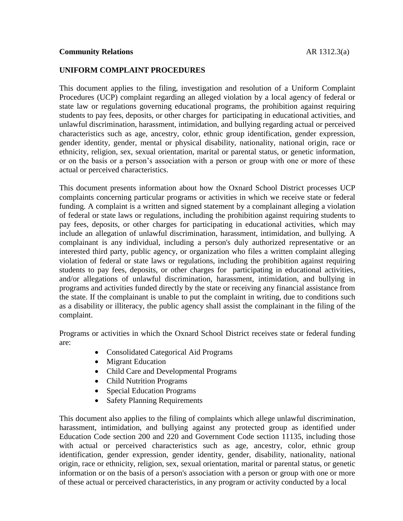## **Community Relations** AR 1312.3(a)

# **UNIFORM COMPLAINT PROCEDURES**

This document applies to the filing, investigation and resolution of a Uniform Complaint Procedures (UCP) complaint regarding an alleged violation by a local agency of federal or state law or regulations governing educational programs, the prohibition against requiring students to pay fees, deposits, or other charges for participating in educational activities, and unlawful discrimination, harassment, intimidation, and bullying regarding actual or perceived characteristics such as age, ancestry, color, ethnic group identification, gender expression, gender identity, gender, mental or physical disability, nationality, national origin, race or ethnicity, religion, sex, sexual orientation, marital or parental status, or genetic information, or on the basis or a person's association with a person or group with one or more of these actual or perceived characteristics.

This document presents information about how the Oxnard School District processes UCP complaints concerning particular programs or activities in which we receive state or federal funding. A complaint is a written and signed statement by a complainant alleging a violation of federal or state laws or regulations, including the prohibition against requiring students to pay fees, deposits, or other charges for participating in educational activities, which may include an allegation of unlawful discrimination, harassment, intimidation, and bullying. A complainant is any individual, including a person's duly authorized representative or an interested third party, public agency, or organization who files a written complaint alleging violation of federal or state laws or regulations, including the prohibition against requiring students to pay fees, deposits, or other charges for participating in educational activities, and/or allegations of unlawful discrimination, harassment, intimidation, and bullying in programs and activities funded directly by the state or receiving any financial assistance from the state. If the complainant is unable to put the complaint in writing, due to conditions such as a disability or illiteracy, the public agency shall assist the complainant in the filing of the complaint.

Programs or activities in which the Oxnard School District receives state or federal funding are:

- Consolidated Categorical Aid Programs
- Migrant Education
- Child Care and Developmental Programs
- Child Nutrition Programs
- Special Education Programs
- Safety Planning Requirements

This document also applies to the filing of complaints which allege unlawful discrimination, harassment, intimidation, and bullying against any protected group as identified under Education Code section 200 and 220 and Government Code section 11135, including those with actual or perceived characteristics such as age, ancestry, color, ethnic group identification, gender expression, gender identity, gender, disability, nationality, national origin, race or ethnicity, religion, sex, sexual orientation, marital or parental status, or genetic information or on the basis of a person's association with a person or group with one or more of these actual or perceived characteristics, in any program or activity conducted by a local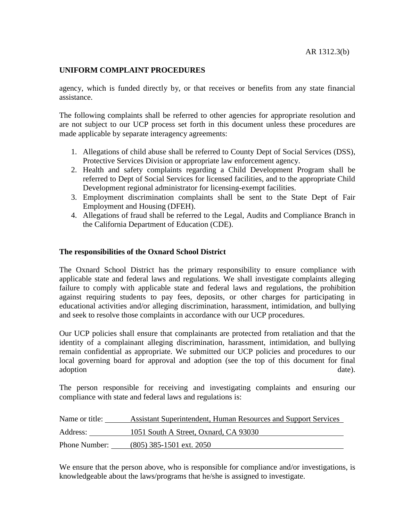agency, which is funded directly by, or that receives or benefits from any state financial assistance.

The following complaints shall be referred to other agencies for appropriate resolution and are not subject to our UCP process set forth in this document unless these procedures are made applicable by separate interagency agreements:

- 1. Allegations of child abuse shall be referred to County Dept of Social Services (DSS), Protective Services Division or appropriate law enforcement agency.
- 2. Health and safety complaints regarding a Child Development Program shall be referred to Dept of Social Services for licensed facilities, and to the appropriate Child Development regional administrator for licensing-exempt facilities.
- 3. Employment discrimination complaints shall be sent to the State Dept of Fair Employment and Housing (DFEH).
- 4. Allegations of fraud shall be referred to the Legal, Audits and Compliance Branch in the California Department of Education (CDE).

## **The responsibilities of the Oxnard School District**

The Oxnard School District has the primary responsibility to ensure compliance with applicable state and federal laws and regulations. We shall investigate complaints alleging failure to comply with applicable state and federal laws and regulations, the prohibition against requiring students to pay fees, deposits, or other charges for participating in educational activities and/or alleging discrimination, harassment, intimidation, and bullying and seek to resolve those complaints in accordance with our UCP procedures.

Our UCP policies shall ensure that complainants are protected from retaliation and that the identity of a complainant alleging discrimination, harassment, intimidation, and bullying remain confidential as appropriate. We submitted our UCP policies and procedures to our local governing board for approval and adoption (see the top of this document for final adoption date).

The person responsible for receiving and investigating complaints and ensuring our compliance with state and federal laws and regulations is:

| Name or title:       | Assistant Superintendent, Human Resources and Support Services |
|----------------------|----------------------------------------------------------------|
| Address:             | 1051 South A Street, Oxnard, CA 93030                          |
| <b>Phone Number:</b> | (805) 385-1501 ext. 2050                                       |

We ensure that the person above, who is responsible for compliance and/or investigations, is knowledgeable about the laws/programs that he/she is assigned to investigate.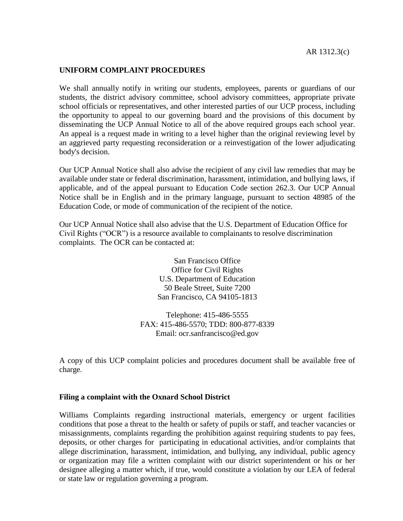We shall annually notify in writing our students, employees, parents or guardians of our students, the district advisory committee, school advisory committees, appropriate private school officials or representatives, and other interested parties of our UCP process, including the opportunity to appeal to our governing board and the provisions of this document by disseminating the UCP Annual Notice to all of the above required groups each school year. An appeal is a request made in writing to a level higher than the original reviewing level by an aggrieved party requesting reconsideration or a reinvestigation of the lower adjudicating body's decision.

Our UCP Annual Notice shall also advise the recipient of any civil law remedies that may be available under state or federal discrimination, harassment, intimidation, and bullying laws, if applicable, and of the appeal pursuant to Education Code section 262.3. Our UCP Annual Notice shall be in English and in the primary language, pursuant to section 48985 of the Education Code, or mode of communication of the recipient of the notice.

Our UCP Annual Notice shall also advise that the U.S. Department of Education Office for Civil Rights ("OCR") is a resource available to complainants to resolve discrimination complaints. The OCR can be contacted at:

> San Francisco Office Office for Civil Rights U.S. Department of Education 50 Beale Street, Suite 7200 San Francisco, CA 94105-1813

Telephone: 415-486-5555 FAX: 415-486-5570; TDD: 800-877-8339 Email: ocr.sanfrancisco@ed.gov

A copy of this UCP complaint policies and procedures document shall be available free of charge.

### **Filing a complaint with the Oxnard School District**

Williams Complaints regarding instructional materials, emergency or urgent facilities conditions that pose a threat to the health or safety of pupils or staff, and teacher vacancies or misassignments, complaints regarding the prohibition against requiring students to pay fees, deposits, or other charges for participating in educational activities, and/or complaints that allege discrimination, harassment, intimidation, and bullying, any individual, public agency or organization may file a written complaint with our district superintendent or his or her designee alleging a matter which, if true, would constitute a violation by our LEA of federal or state law or regulation governing a program.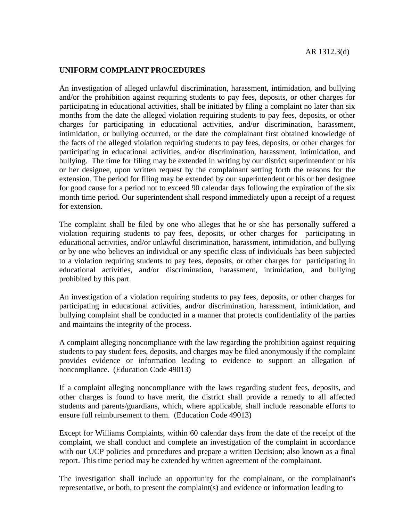An investigation of alleged unlawful discrimination, harassment, intimidation, and bullying and/or the prohibition against requiring students to pay fees, deposits, or other charges for participating in educational activities, shall be initiated by filing a complaint no later than six months from the date the alleged violation requiring students to pay fees, deposits, or other charges for participating in educational activities, and/or discrimination, harassment, intimidation, or bullying occurred, or the date the complainant first obtained knowledge of the facts of the alleged violation requiring students to pay fees, deposits, or other charges for participating in educational activities, and/or discrimination, harassment, intimidation, and bullying. The time for filing may be extended in writing by our district superintendent or his or her designee, upon written request by the complainant setting forth the reasons for the extension. The period for filing may be extended by our superintendent or his or her designee for good cause for a period not to exceed 90 calendar days following the expiration of the six month time period. Our superintendent shall respond immediately upon a receipt of a request for extension.

The complaint shall be filed by one who alleges that he or she has personally suffered a violation requiring students to pay fees, deposits, or other charges for participating in educational activities, and/or unlawful discrimination, harassment, intimidation, and bullying or by one who believes an individual or any specific class of individuals has been subjected to a violation requiring students to pay fees, deposits, or other charges for participating in educational activities, and/or discrimination, harassment, intimidation, and bullying prohibited by this part.

An investigation of a violation requiring students to pay fees, deposits, or other charges for participating in educational activities, and/or discrimination, harassment, intimidation, and bullying complaint shall be conducted in a manner that protects confidentiality of the parties and maintains the integrity of the process.

A complaint alleging noncompliance with the law regarding the prohibition against requiring students to pay student fees, deposits, and charges may be filed anonymously if the complaint provides evidence or information leading to evidence to support an allegation of noncompliance. (Education Code 49013)

If a complaint alleging noncompliance with the laws regarding student fees, deposits, and other charges is found to have merit, the district shall provide a remedy to all affected students and parents/guardians, which, where applicable, shall include reasonable efforts to ensure full reimbursement to them. (Education Code 49013)

Except for Williams Complaints, within 60 calendar days from the date of the receipt of the complaint, we shall conduct and complete an investigation of the complaint in accordance with our UCP policies and procedures and prepare a written Decision; also known as a final report. This time period may be extended by written agreement of the complainant.

The investigation shall include an opportunity for the complainant, or the complainant's representative, or both, to present the complaint(s) and evidence or information leading to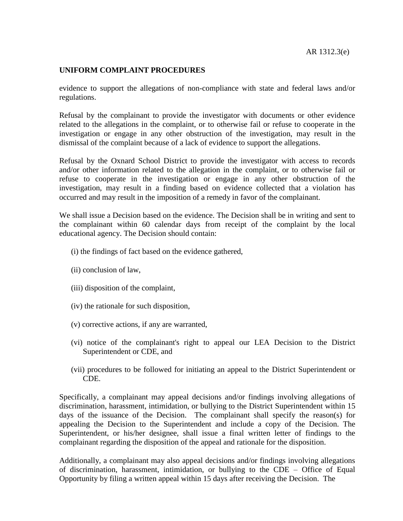evidence to support the allegations of non-compliance with state and federal laws and/or regulations.

Refusal by the complainant to provide the investigator with documents or other evidence related to the allegations in the complaint, or to otherwise fail or refuse to cooperate in the investigation or engage in any other obstruction of the investigation, may result in the dismissal of the complaint because of a lack of evidence to support the allegations.

Refusal by the Oxnard School District to provide the investigator with access to records and/or other information related to the allegation in the complaint, or to otherwise fail or refuse to cooperate in the investigation or engage in any other obstruction of the investigation, may result in a finding based on evidence collected that a violation has occurred and may result in the imposition of a remedy in favor of the complainant.

We shall issue a Decision based on the evidence. The Decision shall be in writing and sent to the complainant within 60 calendar days from receipt of the complaint by the local educational agency. The Decision should contain:

- (i) the findings of fact based on the evidence gathered,
- (ii) conclusion of law,
- (iii) disposition of the complaint,
- (iv) the rationale for such disposition,
- (v) corrective actions, if any are warranted,
- (vi) notice of the complainant's right to appeal our LEA Decision to the District Superintendent or CDE, and
- (vii) procedures to be followed for initiating an appeal to the District Superintendent or CDE.

Specifically, a complainant may appeal decisions and/or findings involving allegations of discrimination, harassment, intimidation, or bullying to the District Superintendent within 15 days of the issuance of the Decision. The complainant shall specify the reason(s) for appealing the Decision to the Superintendent and include a copy of the Decision. The Superintendent, or his/her designee, shall issue a final written letter of findings to the complainant regarding the disposition of the appeal and rationale for the disposition.

Additionally, a complainant may also appeal decisions and/or findings involving allegations of discrimination, harassment, intimidation, or bullying to the CDE – Office of Equal Opportunity by filing a written appeal within 15 days after receiving the Decision. The